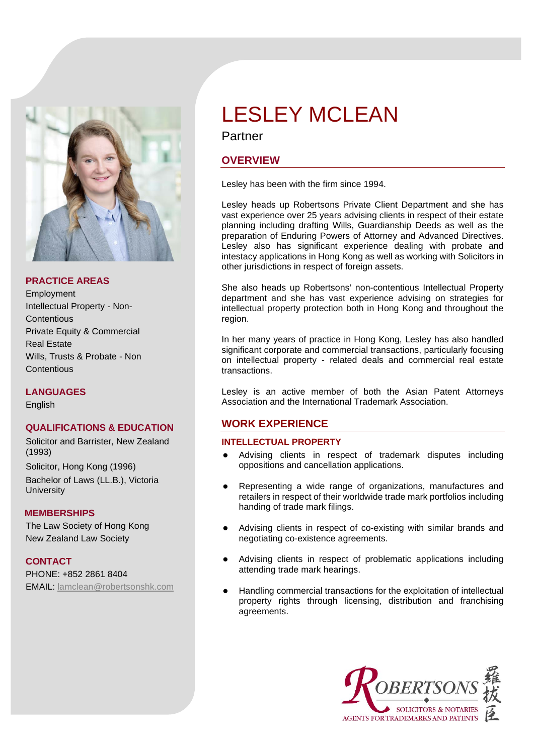

#### **PRACTICE AREAS**

**Employment** Intellectual Property - Non-**Contentious** Private Equity & Commercial Real Estate Wills, Trusts & Probate - Non **Contentious** 

**LANGUAGES**

English

## **QUALIFICATIONS & EDUCATION**

Solicitor and Barrister, New Zealand (1993)

Solicitor, Hong Kong (1996) Bachelor of Laws (LL.B.), Victoria **University** 

#### **MEMBERSHIPS**

The Law Society of Hong Kong New Zealand Law Society

**CONTACT**

PHONE: +852 2861 8404 EMAIL: [lamclean@robertsonshk.com](mailto:lamclean@robertsonshk.com)

# LESLEY MCLEAN

## Partner

## **OVERVIEW**

Lesley has been with the firm since 1994.

Lesley heads up Robertsons Private Client Department and she has vast experience over 25 years advising clients in respect of their estate planning including drafting Wills, Guardianship Deeds as well as the preparation of Enduring Powers of Attorney and Advanced Directives. Lesley also has significant experience dealing with probate and intestacy applications in Hong Kong as well as working with Solicitors in other jurisdictions in respect of foreign assets.

She also heads up Robertsons' non-contentious Intellectual Property department and she has vast experience advising on strategies for intellectual property protection both in Hong Kong and throughout the region.

In her many years of practice in Hong Kong, Lesley has also handled significant corporate and commercial transactions, particularly focusing on intellectual property - related deals and commercial real estate transactions.

Lesley is an active member of both the Asian Patent Attorneys Association and the International Trademark Association.

## **WORK EXPERIENCE**

## **INTELLECTUAL PROPERTY**

- Advising clients in respect of trademark disputes including oppositions and cancellation applications.
- Representing a wide range of organizations, manufactures and retailers in respect of their worldwide trade mark portfolios including handing of trade mark filings.
- Advising clients in respect of co-existing with similar brands and negotiating co-existence agreements.
- Advising clients in respect of problematic applications including attending trade mark hearings.
- Handling commercial transactions for the exploitation of intellectual property rights through licensing, distribution and franchising agreements.